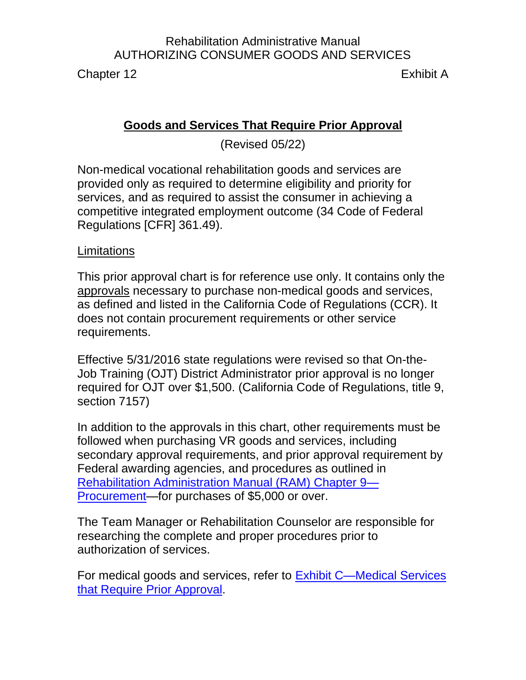Chapter 12 Exhibit A

#### **Goods and Services That Require Prior Approval**

(Revised 05/22)

Non-medical vocational rehabilitation goods and services are provided only as required to determine eligibility and priority for services, and as required to assist the consumer in achieving a competitive integrated employment outcome (34 Code of Federal Regulations [CFR] 361.49).

#### **Limitations**

This prior approval chart is for reference use only. It contains only the approvals necessary to purchase non-medical goods and services, as defined and listed in the California Code of Regulations (CCR). It does not contain procurement requirements or other service requirements.

Effective 5/31/2016 state regulations were revised so that On-the-Job Training (OJT) District Administrator prior approval is no longer required for OJT over \$1,500. (California Code of Regulations, title 9, section 7157)

In addition to the approvals in this chart, other requirements must be followed when purchasing VR goods and services, including secondary approval requirements, and prior approval requirement by Federal awarding agencies, and procedures as outlined in [Rehabilitation Administration Manual \(RAM\) Chapter 9—](http://indor/ram/ram09/ram-9-procurement) [Procurement—](http://indor/ram/ram09/ram-9-procurement)for purchases of \$5,000 or over.

The Team Manager or Rehabilitation Counselor are responsible for researching the complete and proper procedures prior to authorization of services.

For medical goods and services, refer to [Exhibit C—Medical Services](file:///G:/Public%20Folder/InDOR%20Documents/RAM/RAM12%20Exhibit%20C%20Medical%20Services%20That%20Require%20Prior%20Approval.pdf) that Require Prior [Approval.](file:///G:/Public%20Folder/InDOR%20Documents/RAM/RAM12%20Exhibit%20C%20Medical%20Services%20That%20Require%20Prior%20Approval.pdf)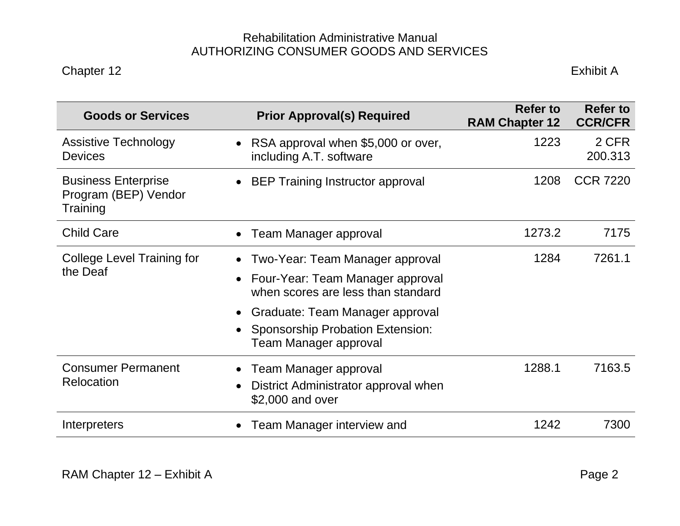| <b>Goods or Services</b>                                       | <b>Prior Approval(s) Required</b>                                                    | <b>Refer to</b><br><b>RAM Chapter 12</b> | <b>Refer to</b><br><b>CCR/CFR</b> |
|----------------------------------------------------------------|--------------------------------------------------------------------------------------|------------------------------------------|-----------------------------------|
| <b>Assistive Technology</b><br><b>Devices</b>                  | RSA approval when \$5,000 or over,<br>$\bullet$<br>including A.T. software           | 1223                                     | 2 CFR<br>200.313                  |
| <b>Business Enterprise</b><br>Program (BEP) Vendor<br>Training | <b>BEP Training Instructor approval</b><br>$\bullet$                                 | 1208                                     | <b>CCR 7220</b>                   |
| <b>Child Care</b>                                              | Team Manager approval<br>$\bullet$                                                   | 1273.2                                   | 7175                              |
| <b>College Level Training for</b><br>the Deaf                  | Two-Year: Team Manager approval<br>$\bullet$                                         | 1284                                     | 7261.1                            |
|                                                                | Four-Year: Team Manager approval<br>$\bullet$<br>when scores are less than standard  |                                          |                                   |
|                                                                | Graduate: Team Manager approval<br>$\bullet$                                         |                                          |                                   |
|                                                                | <b>Sponsorship Probation Extension:</b><br>$\bullet$<br><b>Team Manager approval</b> |                                          |                                   |
| <b>Consumer Permanent</b><br>Relocation                        | Team Manager approval<br>$\bullet$                                                   | 1288.1                                   | 7163.5                            |
|                                                                | District Administrator approval when<br>$\bullet$<br>\$2,000 and over                |                                          |                                   |
| Interpreters                                                   | Team Manager interview and<br>$\bullet$                                              | 1242                                     | 7300                              |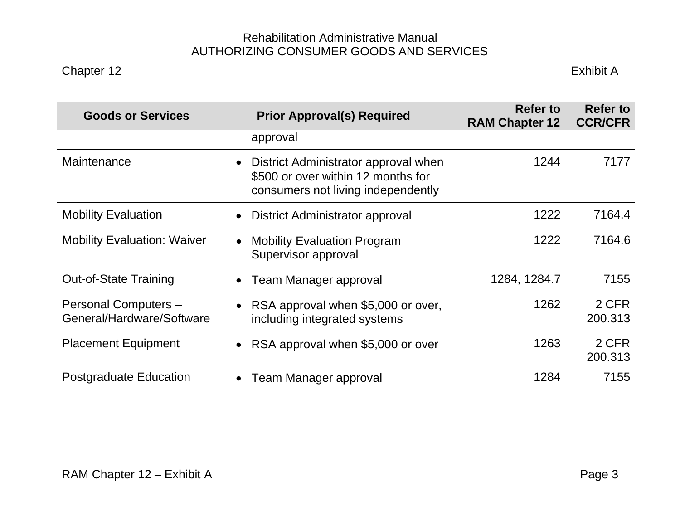| <b>Goods or Services</b>                          | <b>Prior Approval(s) Required</b>                                                                                             | <b>Refer to</b><br><b>RAM Chapter 12</b> | <b>Refer to</b><br><b>CCR/CFR</b> |
|---------------------------------------------------|-------------------------------------------------------------------------------------------------------------------------------|------------------------------------------|-----------------------------------|
|                                                   | approval                                                                                                                      |                                          |                                   |
| Maintenance                                       | District Administrator approval when<br>$\bullet$<br>\$500 or over within 12 months for<br>consumers not living independently | 1244                                     | 7177                              |
| <b>Mobility Evaluation</b>                        | District Administrator approval<br>$\bullet$                                                                                  | 1222                                     | 7164.4                            |
| <b>Mobility Evaluation: Waiver</b>                | <b>Mobility Evaluation Program</b><br>$\bullet$<br>Supervisor approval                                                        | 1222                                     | 7164.6                            |
| <b>Out-of-State Training</b>                      | <b>Team Manager approval</b><br>$\bullet$                                                                                     | 1284, 1284.7                             | 7155                              |
| Personal Computers -<br>General/Hardware/Software | RSA approval when \$5,000 or over,<br>$\bullet$<br>including integrated systems                                               | 1262                                     | 2 CFR<br>200.313                  |
| <b>Placement Equipment</b>                        | • RSA approval when \$5,000 or over                                                                                           | 1263                                     | 2 CFR<br>200.313                  |
| Postgraduate Education                            | Team Manager approval<br>$\bullet$                                                                                            | 1284                                     | 7155                              |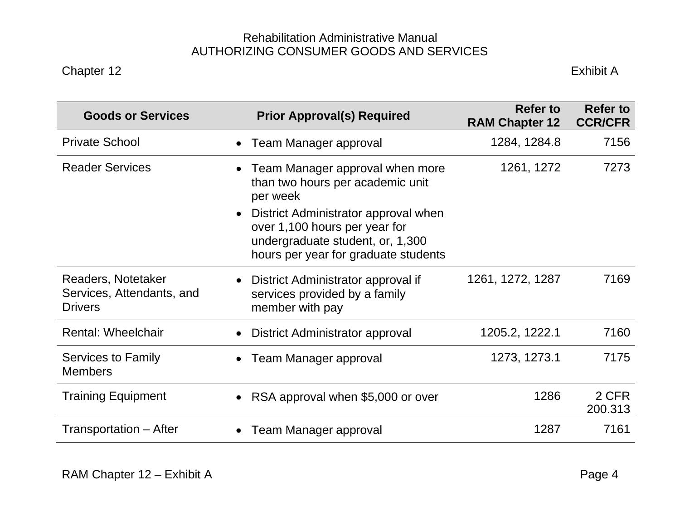| <b>Goods or Services</b>                                          | <b>Prior Approval(s) Required</b>                                                                                                                              | <b>Refer to</b><br><b>RAM Chapter 12</b> | <b>Refer to</b><br><b>CCR/CFR</b> |
|-------------------------------------------------------------------|----------------------------------------------------------------------------------------------------------------------------------------------------------------|------------------------------------------|-----------------------------------|
| <b>Private School</b>                                             | Team Manager approval<br>$\bullet$                                                                                                                             | 1284, 1284.8                             | 7156                              |
| <b>Reader Services</b>                                            | Team Manager approval when more<br>$\bullet$<br>than two hours per academic unit<br>per week                                                                   | 1261, 1272                               | 7273                              |
|                                                                   | District Administrator approval when<br>$\bullet$<br>over 1,100 hours per year for<br>undergraduate student, or, 1,300<br>hours per year for graduate students |                                          |                                   |
| Readers, Notetaker<br>Services, Attendants, and<br><b>Drivers</b> | District Administrator approval if<br>$\bullet$<br>services provided by a family<br>member with pay                                                            | 1261, 1272, 1287                         | 7169                              |
| <b>Rental: Wheelchair</b>                                         | District Administrator approval<br>$\bullet$                                                                                                                   | 1205.2, 1222.1                           | 7160                              |
| Services to Family<br><b>Members</b>                              | Team Manager approval<br>$\bullet$                                                                                                                             | 1273, 1273.1                             | 7175                              |
| <b>Training Equipment</b>                                         | RSA approval when \$5,000 or over<br>$\bullet$                                                                                                                 | 1286                                     | 2 CFR<br>200.313                  |
| Transportation – After                                            | Team Manager approval<br>$\bullet$                                                                                                                             | 1287                                     | 7161                              |